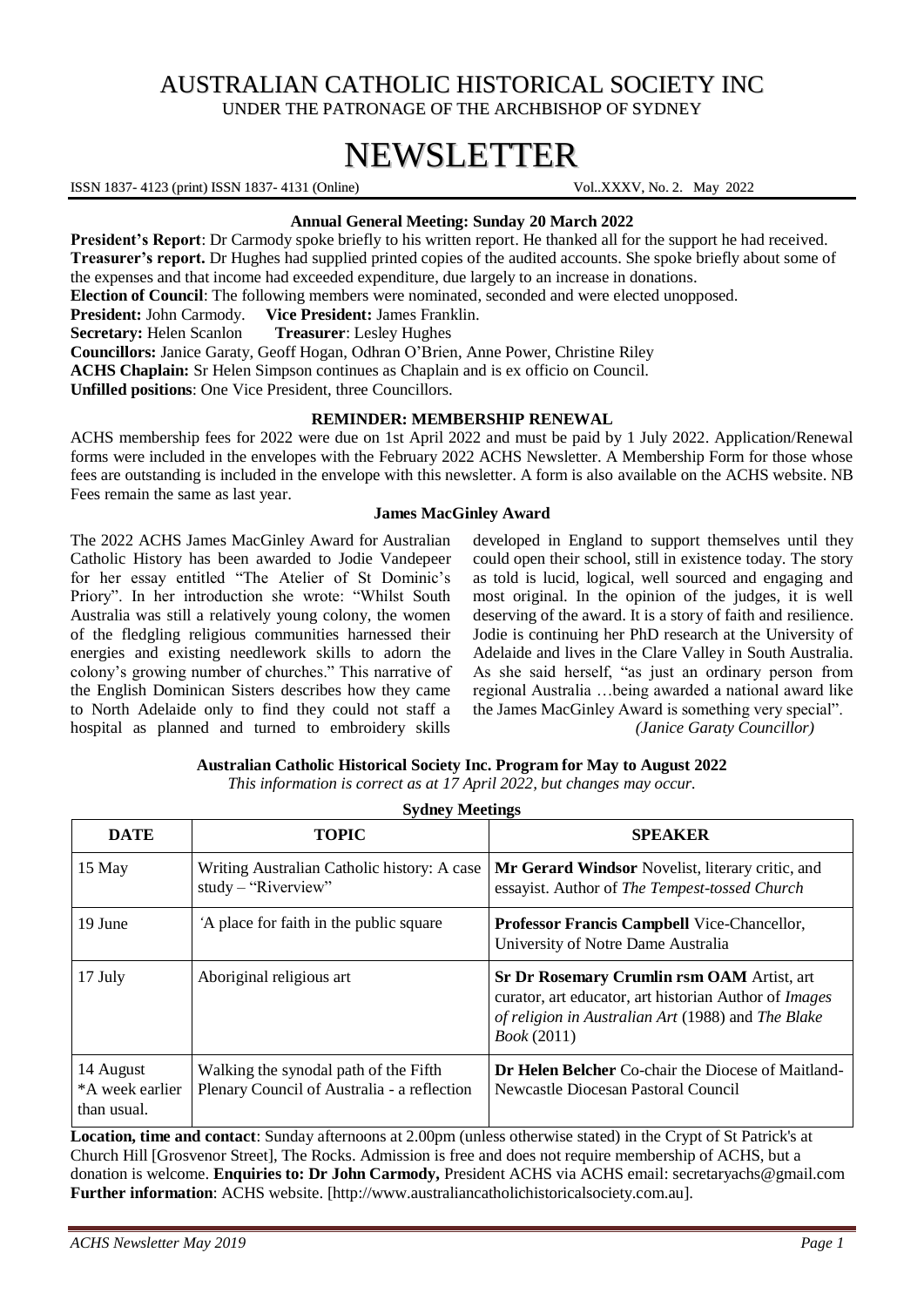# AUSTRALIAN CATHOLIC HISTORICAL SOCIETY INC UNDER THE PATRONAGE OF THE ARCHBISHOP OF SYDNEY

# NEWSLETTER

ISSN 1837- 4123 (print) ISSN 1837- 4131 (Online) Vol..XXXV, No. 2. May 2022

# **Annual General Meeting: Sunday 20 March 2022**

**President's Report**: Dr Carmody spoke briefly to his written report. He thanked all for the support he had received. **Treasurer's report.** Dr Hughes had supplied printed copies of the audited accounts. She spoke briefly about some of the expenses and that income had exceeded expenditure, due largely to an increase in donations. **Election of Council**: The following members were nominated, seconded and were elected unopposed. **President:** John Carmody. **Vice President:** James Franklin. **Secretary:** Helen Scanlon **Treasurer**: Lesley Hughes **Councillors:** Janice Garaty, Geoff Hogan, Odhran O'Brien, Anne Power, Christine Riley **ACHS Chaplain:** Sr Helen Simpson continues as Chaplain and is ex officio on Council. **Unfilled positions**: One Vice President, three Councillors.

## **REMINDER: MEMBERSHIP RENEWAL**

ACHS membership fees for 2022 were due on 1st April 2022 and must be paid by 1 July 2022. Application/Renewal forms were included in the envelopes with the February 2022 ACHS Newsletter. A Membership Form for those whose fees are outstanding is included in the envelope with this newsletter. A form is also available on the ACHS website. NB Fees remain the same as last year.

## **James MacGinley Award**

The 2022 ACHS James MacGinley Award for Australian Catholic History has been awarded to Jodie Vandepeer for her essay entitled "The Atelier of St Dominic's Priory". In her introduction she wrote: "Whilst South Australia was still a relatively young colony, the women of the fledgling religious communities harnessed their energies and existing needlework skills to adorn the colony's growing number of churches." This narrative of the English Dominican Sisters describes how they came to North Adelaide only to find they could not staff a hospital as planned and turned to embroidery skills

developed in England to support themselves until they could open their school, still in existence today. The story as told is lucid, logical, well sourced and engaging and most original. In the opinion of the judges, it is well deserving of the award. It is a story of faith and resilience. Jodie is continuing her PhD research at the University of Adelaide and lives in the Clare Valley in South Australia. As she said herself, "as just an ordinary person from regional Australia …being awarded a national award like the James MacGinley Award is something very special".

*(Janice Garaty Councillor)* 

| <b>DATE</b>                                 | <b>TOPIC</b>                                                                         | <b>SPEAKER</b>                                                                                                                                                                                |
|---------------------------------------------|--------------------------------------------------------------------------------------|-----------------------------------------------------------------------------------------------------------------------------------------------------------------------------------------------|
| 15 May                                      | Writing Australian Catholic history: A case<br>$study - "Riverview"$                 | Mr Gerard Windsor Novelist, literary critic, and<br>essayist. Author of The Tempest-tossed Church                                                                                             |
| 19 June                                     | A place for faith in the public square                                               | <b>Professor Francis Campbell Vice-Chancellor,</b><br>University of Notre Dame Australia                                                                                                      |
| 17 July                                     | Aboriginal religious art                                                             | <b>Sr Dr Rosemary Crumlin rsm OAM Artist, art</b><br>curator, art educator, art historian Author of <i>Images</i><br>of religion in Australian Art (1988) and The Blake<br><i>Book</i> (2011) |
| 14 August<br>*A week earlier<br>than usual. | Walking the synodal path of the Fifth<br>Plenary Council of Australia - a reflection | <b>Dr Helen Belcher</b> Co-chair the Diocese of Maitland-<br>Newcastle Diocesan Pastoral Council                                                                                              |

**Australian Catholic Historical Society Inc. Program for May to August 2022** *This information is correct as at 17 April 2022, but changes may occur.* **Sydney Meetings**

**Location, time and contact**: Sunday afternoons at 2.00pm (unless otherwise stated) in the Crypt of St Patrick's at Church Hill [Grosvenor Street], The Rocks. Admission is free and does not require membership of ACHS, but a donation is welcome. **Enquiries to: Dr John Carmody,** President ACHS via ACHS email: [secretaryachs@gmail.com](mailto:secretaryachs@gmail.com) **Further information**: ACHS website. [http://www.australiancatholichistoricalsociety.com.au].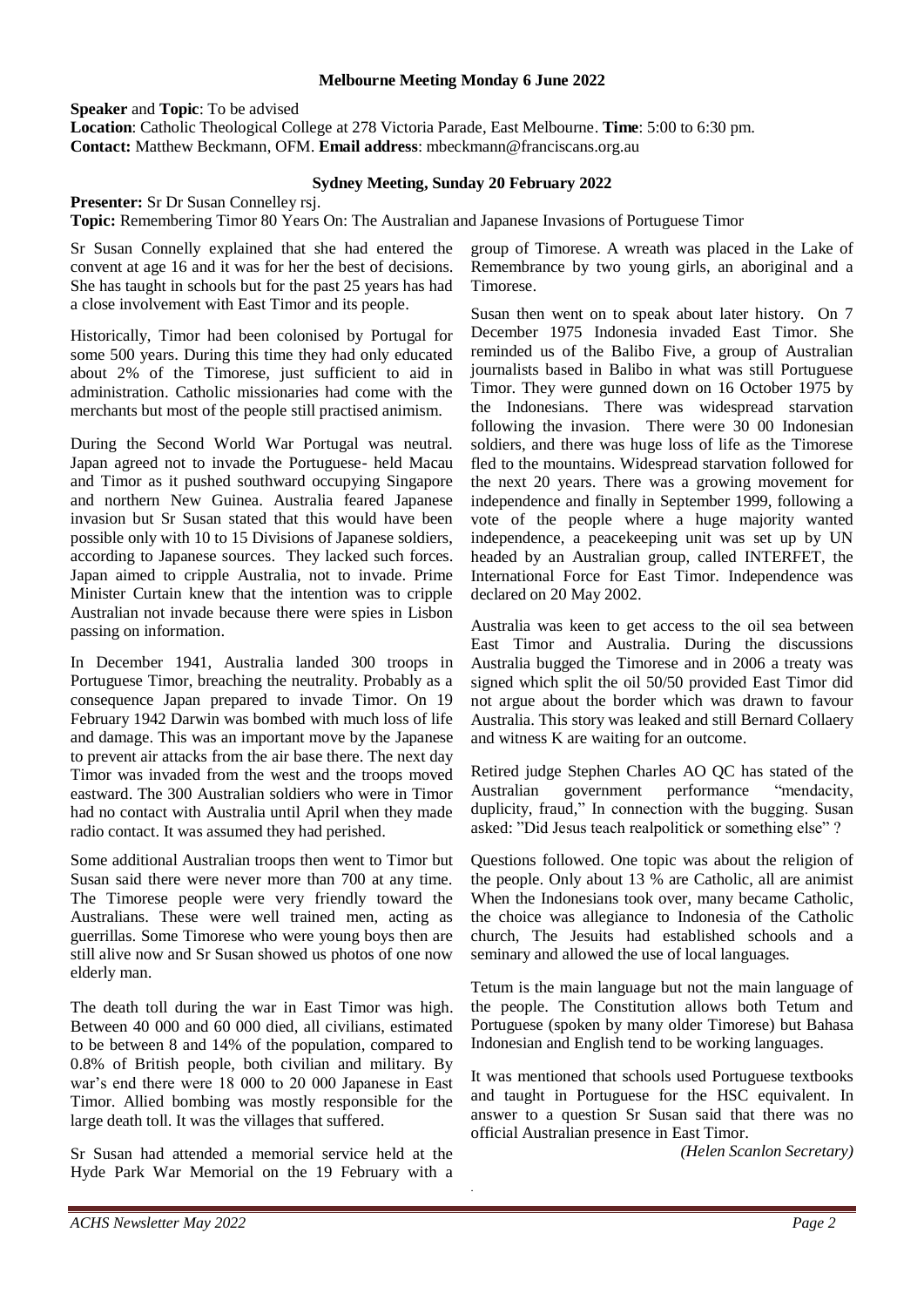#### **Melbourne Meeting Monday 6 June 2022**

**Speaker** and **Topic**: To be advised

**Location**: Catholic Theological College at 278 Victoria Parade, East Melbourne. **Time**: 5:00 to 6:30 pm. **Contact:** Matthew Beckmann, OFM. **Email address**: [mbeckmann@franciscans.org.au](mailto:mbeckmann@franciscans.org.au)

#### **Sydney Meeting, Sunday 20 February 2022**

**Presenter:** Sr Dr Susan Connelley rsj.

**Topic:** Remembering Timor 80 Years On: The Australian and Japanese Invasions of Portuguese Timor

Sr Susan Connelly explained that she had entered the convent at age 16 and it was for her the best of decisions. She has taught in schools but for the past 25 years has had a close involvement with East Timor and its people.

Historically, Timor had been colonised by Portugal for some 500 years. During this time they had only educated about 2% of the Timorese, just sufficient to aid in administration. Catholic missionaries had come with the merchants but most of the people still practised animism.

During the Second World War Portugal was neutral. Japan agreed not to invade the Portuguese- held Macau and Timor as it pushed southward occupying Singapore and northern New Guinea. Australia feared Japanese invasion but Sr Susan stated that this would have been possible only with 10 to 15 Divisions of Japanese soldiers, according to Japanese sources. They lacked such forces. Japan aimed to cripple Australia, not to invade. Prime Minister Curtain knew that the intention was to cripple Australian not invade because there were spies in Lisbon passing on information.

In December 1941, Australia landed 300 troops in Portuguese Timor, breaching the neutrality. Probably as a consequence Japan prepared to invade Timor. On 19 February 1942 Darwin was bombed with much loss of life and damage. This was an important move by the Japanese to prevent air attacks from the air base there. The next day Timor was invaded from the west and the troops moved eastward. The 300 Australian soldiers who were in Timor had no contact with Australia until April when they made radio contact. It was assumed they had perished.

Some additional Australian troops then went to Timor but Susan said there were never more than 700 at any time. The Timorese people were very friendly toward the Australians. These were well trained men, acting as guerrillas. Some Timorese who were young boys then are still alive now and Sr Susan showed us photos of one now elderly man.

The death toll during the war in East Timor was high. Between 40 000 and 60 000 died, all civilians, estimated to be between 8 and 14% of the population, compared to 0.8% of British people, both civilian and military. By war's end there were 18 000 to 20 000 Japanese in East Timor. Allied bombing was mostly responsible for the large death toll. It was the villages that suffered.

Sr Susan had attended a memorial service held at the Hyde Park War Memorial on the 19 February with a

group of Timorese. A wreath was placed in the Lake of Remembrance by two young girls, an aboriginal and a Timorese.

Susan then went on to speak about later history. On 7 December 1975 Indonesia invaded East Timor. She reminded us of the Balibo Five, a group of Australian journalists based in Balibo in what was still Portuguese Timor. They were gunned down on 16 October 1975 by the Indonesians. There was widespread starvation following the invasion. There were 30 00 Indonesian soldiers, and there was huge loss of life as the Timorese fled to the mountains. Widespread starvation followed for the next 20 years. There was a growing movement for independence and finally in September 1999, following a vote of the people where a huge majority wanted independence, a peacekeeping unit was set up by UN headed by an Australian group, called INTERFET, the International Force for East Timor. Independence was declared on 20 May 2002.

Australia was keen to get access to the oil sea between East Timor and Australia. During the discussions Australia bugged the Timorese and in 2006 a treaty was signed which split the oil 50/50 provided East Timor did not argue about the border which was drawn to favour Australia. This story was leaked and still Bernard Collaery and witness K are waiting for an outcome.

Retired judge Stephen Charles AO QC has stated of the Australian government performance "mendacity, duplicity, fraud," In connection with the bugging. Susan asked: "Did Jesus teach realpolitick or something else" ?

Questions followed. One topic was about the religion of the people. Only about 13 % are Catholic, all are animist When the Indonesians took over, many became Catholic, the choice was allegiance to Indonesia of the Catholic church, The Jesuits had established schools and a seminary and allowed the use of local languages.

Tetum is the main language but not the main language of the people. The Constitution allows both Tetum and Portuguese (spoken by many older Timorese) but Bahasa Indonesian and English tend to be working languages.

It was mentioned that schools used Portuguese textbooks and taught in Portuguese for the HSC equivalent. In answer to a question Sr Susan said that there was no official Australian presence in East Timor.

.

*(Helen Scanlon Secretary)*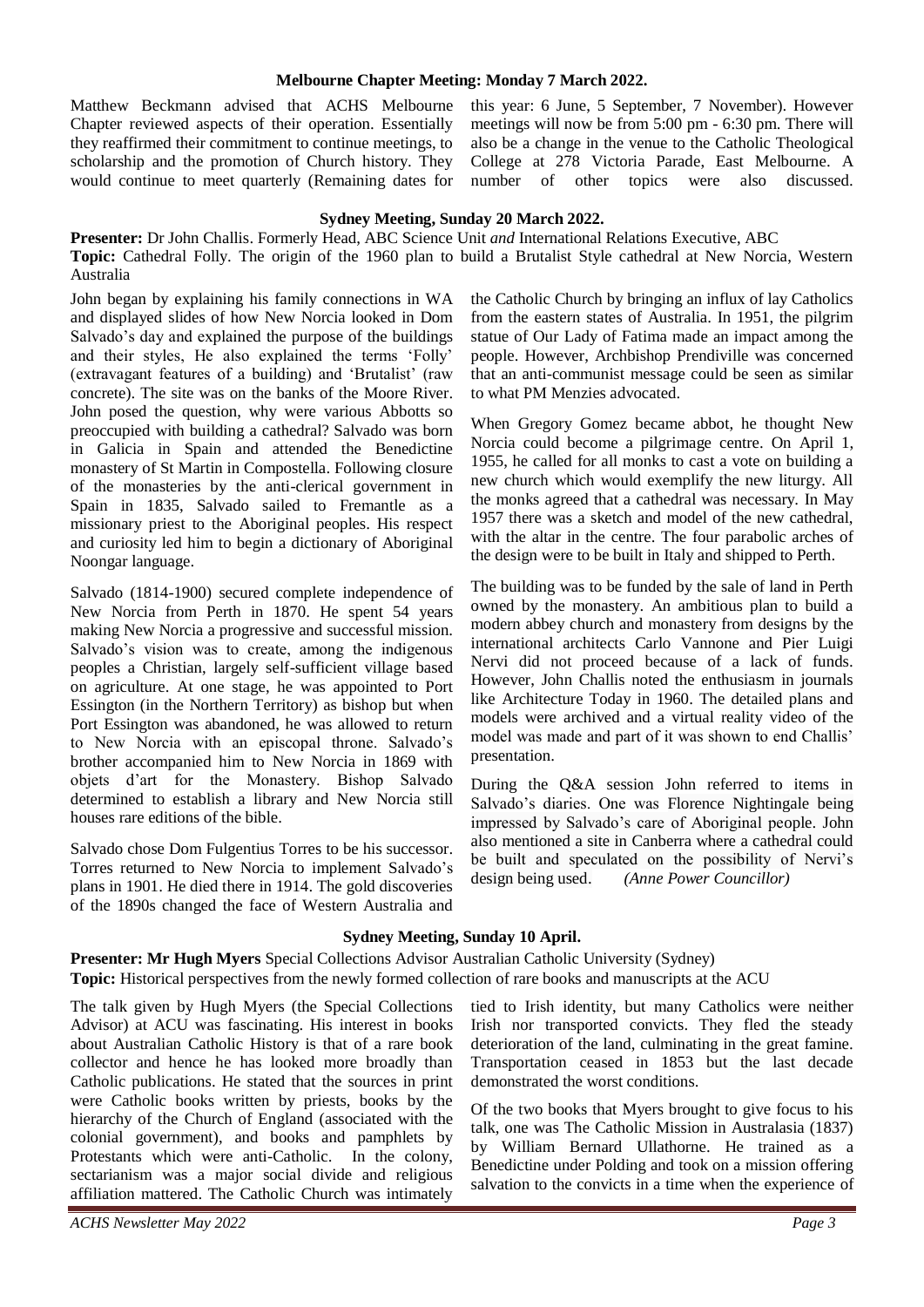#### **Melbourne Chapter Meeting: Monday 7 March 2022.**

Matthew Beckmann advised that ACHS Melbourne Chapter reviewed aspects of their operation. Essentially they reaffirmed their commitment to continue meetings, to scholarship and the promotion of Church history. They would continue to meet quarterly (Remaining dates for this year: 6 June, 5 September, 7 November). However meetings will now be from 5:00 pm - 6:30 pm. There will also be a change in the venue to the Catholic Theological College at 278 Victoria Parade, East Melbourne. A number of other topics were also discussed.

#### **Sydney Meeting, Sunday 20 March 2022.**

**Presenter:** Dr John Challis. Formerly Head, ABC Science Unit *and* International Relations Executive, ABC **Topic:** Cathedral Folly. The origin of the 1960 plan to build a Brutalist Style cathedral at New Norcia, Western Australia

John began by explaining his family connections in WA and displayed slides of how New Norcia looked in Dom Salvado's day and explained the purpose of the buildings and their styles, He also explained the terms 'Folly' (extravagant features of a building) and 'Brutalist' (raw concrete). The site was on the banks of the Moore River. John posed the question, why were various Abbotts so preoccupied with building a cathedral? Salvado was born in Galicia in Spain and attended the Benedictine monastery of St Martin in Compostella. Following closure of the monasteries by the anti-clerical government in Spain in 1835, Salvado sailed to Fremantle as a missionary priest to the Aboriginal peoples. His respect and curiosity led him to begin a dictionary of Aboriginal Noongar language.

Salvado (1814-1900) secured complete independence of New Norcia from Perth in 1870. He spent 54 years making New Norcia a progressive and successful mission. Salvado's vision was to create, among the indigenous peoples a Christian, largely self-sufficient village based on agriculture. At one stage, he was appointed to Port Essington (in the Northern Territory) as bishop but when Port Essington was abandoned, he was allowed to return to New Norcia with an episcopal throne. Salvado's brother accompanied him to New Norcia in 1869 with objets d'art for the Monastery. Bishop Salvado determined to establish a library and New Norcia still houses rare editions of the bible.

[Salvado](https://adb.anu.edu.au/biography/salvado-rosendo-2627) chose Dom Fulgentius Torres to be his successor. Torres returned to New Norcia to implement Salvado's plans in 1901. He died there in 1914. The gold discoveries of the 1890s changed the face of Western Australia and the Catholic Church by bringing an influx of lay Catholics from the eastern states of Australia. In 1951, the pilgrim statue of Our Lady of Fatima made an impact among the people. However, Archbishop Prendiville was concerned that an anti-communist message could be seen as similar to what PM Menzies advocated.

When Gregory Gomez became abbot, he thought New Norcia could become a pilgrimage centre. On April 1, 1955, he called for all monks to cast a vote on building a new church which would exemplify the new liturgy. All the monks agreed that a cathedral was necessary. In May 1957 there was a sketch and model of the new cathedral, with the altar in the centre. The four parabolic arches of the design were to be built in Italy and shipped to Perth.

The building was to be funded by the sale of land in Perth owned by the monastery. An ambitious plan to build a modern abbey church and monastery from designs by the international architects Carlo Vannone and Pier Luigi Nervi did not proceed because of a lack of funds. However, John Challis noted the enthusiasm in journals like Architecture Today in 1960. The detailed plans and models were archived and a virtual reality video of the model was made and part of it was shown to end Challis' presentation.

During the Q&A session John referred to items in Salvado's diaries. One was Florence Nightingale being impressed by Salvado's care of Aboriginal people. John also mentioned a site in Canberra where a cathedral could be built and speculated on the possibility of Nervi's design being used. *(Anne Power Councillor)*

#### **Sydney Meeting, Sunday 10 April.**

**Presenter: Mr Hugh Myers** Special Collections Advisor Australian Catholic University (Sydney) **Topic:** Historical perspectives from the newly formed collection of rare books and manuscripts at the ACU

The talk given by Hugh Myers (the Special Collections Advisor) at ACU was fascinating. His interest in books about Australian Catholic History is that of a rare book collector and hence he has looked more broadly than Catholic publications. He stated that the sources in print were Catholic books written by priests, books by the hierarchy of the Church of England (associated with the colonial government), and books and pamphlets by Protestants which were anti-Catholic. In the colony, sectarianism was a major social divide and religious affiliation mattered. The Catholic Church was intimately

tied to Irish identity, but many Catholics were neither Irish nor transported convicts. They fled the steady deterioration of the land, culminating in the great famine. Transportation ceased in 1853 but the last decade demonstrated the worst conditions.

Of the two books that Myers brought to give focus to his talk, one was The Catholic Mission in Australasia (1837) by William Bernard Ullathorne. He trained as a Benedictine under Polding and took on a mission offering salvation to the convicts in a time when the experience of